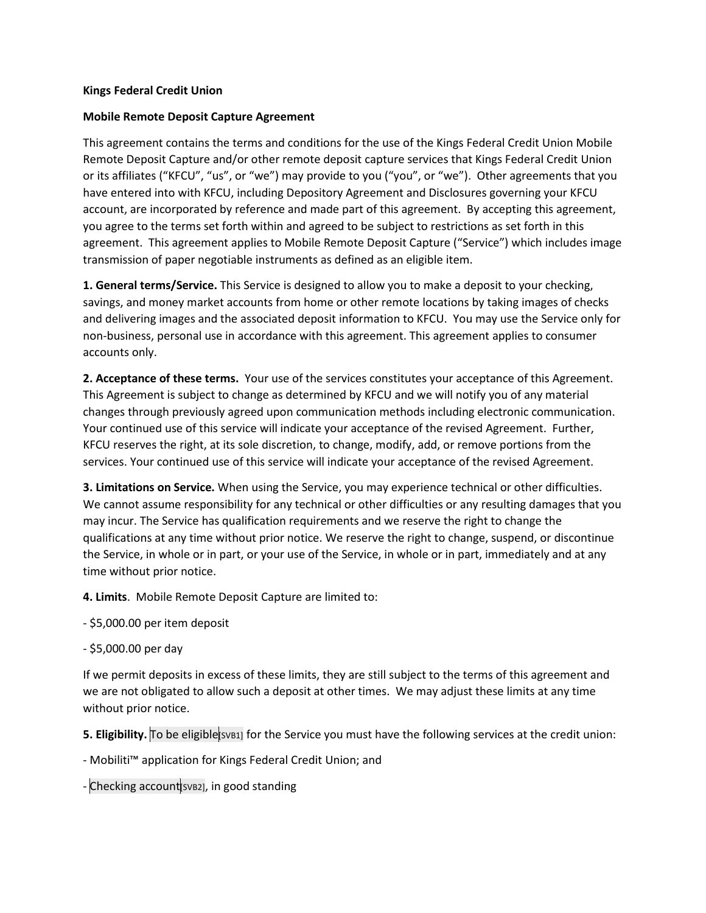## **Kings Federal Credit Union**

## **Mobile Remote Deposit Capture Agreement**

This agreement contains the terms and conditions for the use of the Kings Federal Credit Union Mobile Remote Deposit Capture and/or other remote deposit capture services that Kings Federal Credit Union or its affiliates ("KFCU", "us", or "we") may provide to you ("you", or "we"). Other agreements that you have entered into with KFCU, including Depository Agreement and Disclosures governing your KFCU account, are incorporated by reference and made part of this agreement. By accepting this agreement, you agree to the terms set forth within and agreed to be subject to restrictions as set forth in this agreement. This agreement applies to Mobile Remote Deposit Capture ("Service") which includes image transmission of paper negotiable instruments as defined as an eligible item.

**1. General terms/Service.** This Service is designed to allow you to make a deposit to your checking, savings, and money market accounts from home or other remote locations by taking images of checks and delivering images and the associated deposit information to KFCU. You may use the Service only for non-business, personal use in accordance with this agreement. This agreement applies to consumer accounts only.

**2. Acceptance of these terms.** Your use of the services constitutes your acceptance of this Agreement. This Agreement is subject to change as determined by KFCU and we will notify you of any material changes through previously agreed upon communication methods including electronic communication. Your continued use of this service will indicate your acceptance of the revised Agreement. Further, KFCU reserves the right, at its sole discretion, to change, modify, add, or remove portions from the services. Your continued use of this service will indicate your acceptance of the revised Agreement.

**3. Limitations on Service.** When using the Service, you may experience technical or other difficulties. We cannot assume responsibility for any technical or other difficulties or any resulting damages that you may incur. The Service has qualification requirements and we reserve the right to change the qualifications at any time without prior notice. We reserve the right to change, suspend, or discontinue the Service, in whole or in part, or your use of the Service, in whole or in part, immediately and at any time without prior notice.

**4. Limits**. Mobile Remote Deposit Capture are limited to:

- \$5,000.00 per item deposit
- \$5,000.00 per day

If we permit deposits in excess of these limits, they are still subject to the terms of this agreement and we are not obligated to allow such a deposit at other times. We may adjust these limits at any time without prior notice.

**5. Eligibility.** To be eligibles substitution for the Service you must have the following services at the credit union:

- Mobiliti™ application for Kings Federal Credit Union; and

- Checking account [SVB2], in good standing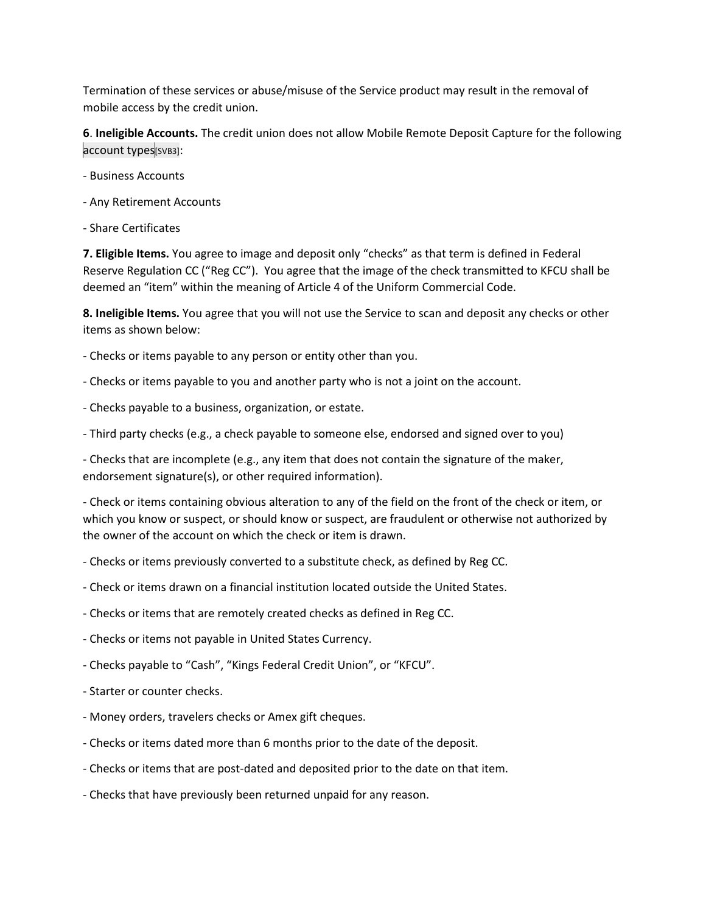Termination of these services or abuse/misuse of the Service product may result in the removal of mobile access by the credit union.

**6**. **Ineligible Accounts.** The credit union does not allow Mobile Remote Deposit Capture for the following account types[SVB3]:

- Business Accounts
- Any Retirement Accounts
- Share Certificates

**7. Eligible Items.** You agree to image and deposit only "checks" as that term is defined in Federal Reserve Regulation CC ("Reg CC"). You agree that the image of the check transmitted to KFCU shall be deemed an "item" within the meaning of Article 4 of the Uniform Commercial Code.

**8. Ineligible Items.** You agree that you will not use the Service to scan and deposit any checks or other items as shown below:

- Checks or items payable to any person or entity other than you.
- Checks or items payable to you and another party who is not a joint on the account.
- Checks payable to a business, organization, or estate.
- Third party checks (e.g., a check payable to someone else, endorsed and signed over to you)

- Checks that are incomplete (e.g., any item that does not contain the signature of the maker, endorsement signature(s), or other required information).

- Check or items containing obvious alteration to any of the field on the front of the check or item, or which you know or suspect, or should know or suspect, are fraudulent or otherwise not authorized by the owner of the account on which the check or item is drawn.

- Checks or items previously converted to a substitute check, as defined by Reg CC.
- Check or items drawn on a financial institution located outside the United States.
- Checks or items that are remotely created checks as defined in Reg CC.
- Checks or items not payable in United States Currency.
- Checks payable to "Cash", "Kings Federal Credit Union", or "KFCU".
- Starter or counter checks.
- Money orders, travelers checks or Amex gift cheques.
- Checks or items dated more than 6 months prior to the date of the deposit.
- Checks or items that are post-dated and deposited prior to the date on that item.
- Checks that have previously been returned unpaid for any reason.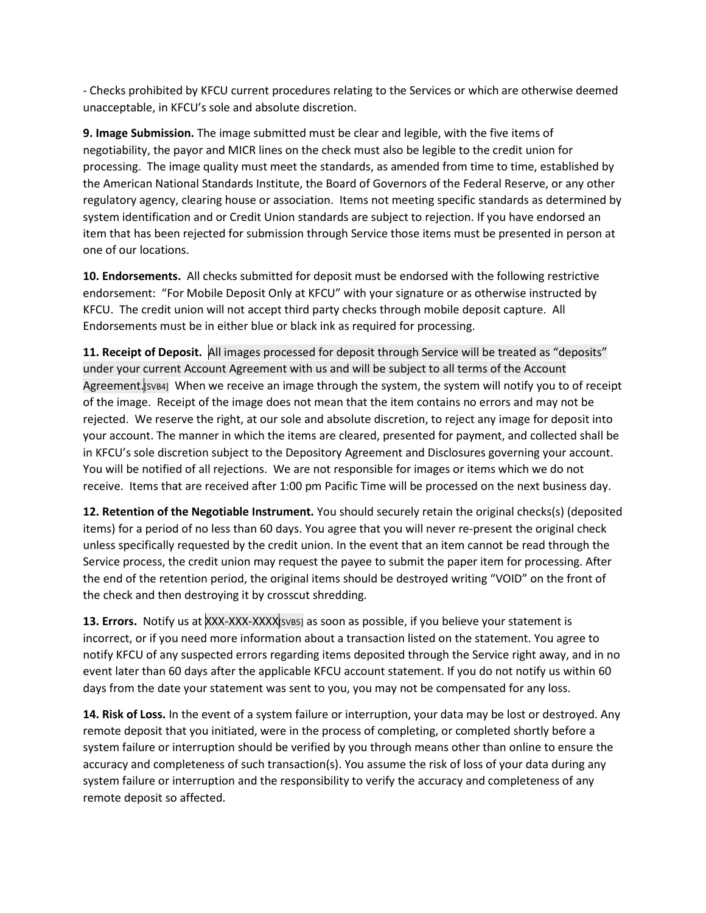- Checks prohibited by KFCU current procedures relating to the Services or which are otherwise deemed unacceptable, in KFCU's sole and absolute discretion.

**9. Image Submission.** The image submitted must be clear and legible, with the five items of negotiability, the payor and MICR lines on the check must also be legible to the credit union for processing. The image quality must meet the standards, as amended from time to time, established by the American National Standards Institute, the Board of Governors of the Federal Reserve, or any other regulatory agency, clearing house or association. Items not meeting specific standards as determined by system identification and or Credit Union standards are subject to rejection. If you have endorsed an item that has been rejected for submission through Service those items must be presented in person at one of our locations.

**10. Endorsements.** All checks submitted for deposit must be endorsed with the following restrictive endorsement: "For Mobile Deposit Only at KFCU" with your signature or as otherwise instructed by KFCU. The credit union will not accept third party checks through mobile deposit capture. All Endorsements must be in either blue or black ink as required for processing.

**11. Receipt of Deposit.** All images processed for deposit through Service will be treated as "deposits" under your current Account Agreement with us and will be subject to all terms of the Account Agreement.[SVB4] When we receive an image through the system, the system will notify you to of receipt of the image. Receipt of the image does not mean that the item contains no errors and may not be rejected. We reserve the right, at our sole and absolute discretion, to reject any image for deposit into your account. The manner in which the items are cleared, presented for payment, and collected shall be in KFCU's sole discretion subject to the Depository Agreement and Disclosures governing your account. You will be notified of all rejections. We are not responsible for images or items which we do not receive. Items that are received after 1:00 pm Pacific Time will be processed on the next business day.

**12. Retention of the Negotiable Instrument.** You should securely retain the original checks(s) (deposited items) for a period of no less than 60 days. You agree that you will never re-present the original check unless specifically requested by the credit union. In the event that an item cannot be read through the Service process, the credit union may request the payee to submit the paper item for processing. After the end of the retention period, the original items should be destroyed writing "VOID" on the front of the check and then destroying it by crosscut shredding.

**13. Errors.** Notify us at XXX-XXX-XXXX [SVB5] as soon as possible, if you believe your statement is incorrect, or if you need more information about a transaction listed on the statement. You agree to notify KFCU of any suspected errors regarding items deposited through the Service right away, and in no event later than 60 days after the applicable KFCU account statement. If you do not notify us within 60 days from the date your statement was sent to you, you may not be compensated for any loss.

**14. Risk of Loss.** In the event of a system failure or interruption, your data may be lost or destroyed. Any remote deposit that you initiated, were in the process of completing, or completed shortly before a system failure or interruption should be verified by you through means other than online to ensure the accuracy and completeness of such transaction(s). You assume the risk of loss of your data during any system failure or interruption and the responsibility to verify the accuracy and completeness of any remote deposit so affected.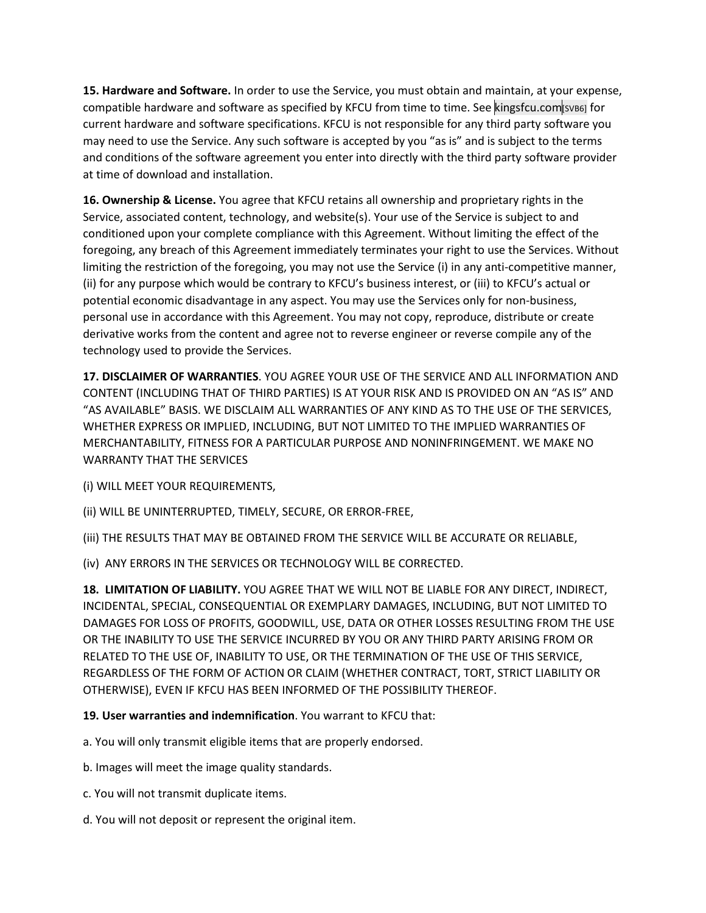**15. Hardware and Software.** In order to use the Service, you must obtain and maintain, at your expense, compatible hardware and software as specified by KFCU from time to time. See kingsfcu.com svB6] for current hardware and software specifications. KFCU is not responsible for any third party software you may need to use the Service. Any such software is accepted by you "as is" and is subject to the terms and conditions of the software agreement you enter into directly with the third party software provider at time of download and installation.

**16. Ownership & License.** You agree that KFCU retains all ownership and proprietary rights in the Service, associated content, technology, and website(s). Your use of the Service is subject to and conditioned upon your complete compliance with this Agreement. Without limiting the effect of the foregoing, any breach of this Agreement immediately terminates your right to use the Services. Without limiting the restriction of the foregoing, you may not use the Service (i) in any anti-competitive manner, (ii) for any purpose which would be contrary to KFCU's business interest, or (iii) to KFCU's actual or potential economic disadvantage in any aspect. You may use the Services only for non-business, personal use in accordance with this Agreement. You may not copy, reproduce, distribute or create derivative works from the content and agree not to reverse engineer or reverse compile any of the technology used to provide the Services.

**17. DISCLAIMER OF WARRANTIES**. YOU AGREE YOUR USE OF THE SERVICE AND ALL INFORMATION AND CONTENT (INCLUDING THAT OF THIRD PARTIES) IS AT YOUR RISK AND IS PROVIDED ON AN "AS IS" AND "AS AVAILABLE" BASIS. WE DISCLAIM ALL WARRANTIES OF ANY KIND AS TO THE USE OF THE SERVICES, WHETHER EXPRESS OR IMPLIED, INCLUDING, BUT NOT LIMITED TO THE IMPLIED WARRANTIES OF MERCHANTABILITY, FITNESS FOR A PARTICULAR PURPOSE AND NONINFRINGEMENT. WE MAKE NO WARRANTY THAT THE SERVICES

(i) WILL MEET YOUR REQUIREMENTS,

(ii) WILL BE UNINTERRUPTED, TIMELY, SECURE, OR ERROR-FREE,

(iii) THE RESULTS THAT MAY BE OBTAINED FROM THE SERVICE WILL BE ACCURATE OR RELIABLE,

(iv) ANY ERRORS IN THE SERVICES OR TECHNOLOGY WILL BE CORRECTED.

**18. LIMITATION OF LIABILITY.** YOU AGREE THAT WE WILL NOT BE LIABLE FOR ANY DIRECT, INDIRECT, INCIDENTAL, SPECIAL, CONSEQUENTIAL OR EXEMPLARY DAMAGES, INCLUDING, BUT NOT LIMITED TO DAMAGES FOR LOSS OF PROFITS, GOODWILL, USE, DATA OR OTHER LOSSES RESULTING FROM THE USE OR THE INABILITY TO USE THE SERVICE INCURRED BY YOU OR ANY THIRD PARTY ARISING FROM OR RELATED TO THE USE OF, INABILITY TO USE, OR THE TERMINATION OF THE USE OF THIS SERVICE, REGARDLESS OF THE FORM OF ACTION OR CLAIM (WHETHER CONTRACT, TORT, STRICT LIABILITY OR OTHERWISE), EVEN IF KFCU HAS BEEN INFORMED OF THE POSSIBILITY THEREOF.

**19. User warranties and indemnification**. You warrant to KFCU that:

a. You will only transmit eligible items that are properly endorsed.

b. Images will meet the image quality standards.

- c. You will not transmit duplicate items.
- d. You will not deposit or represent the original item.